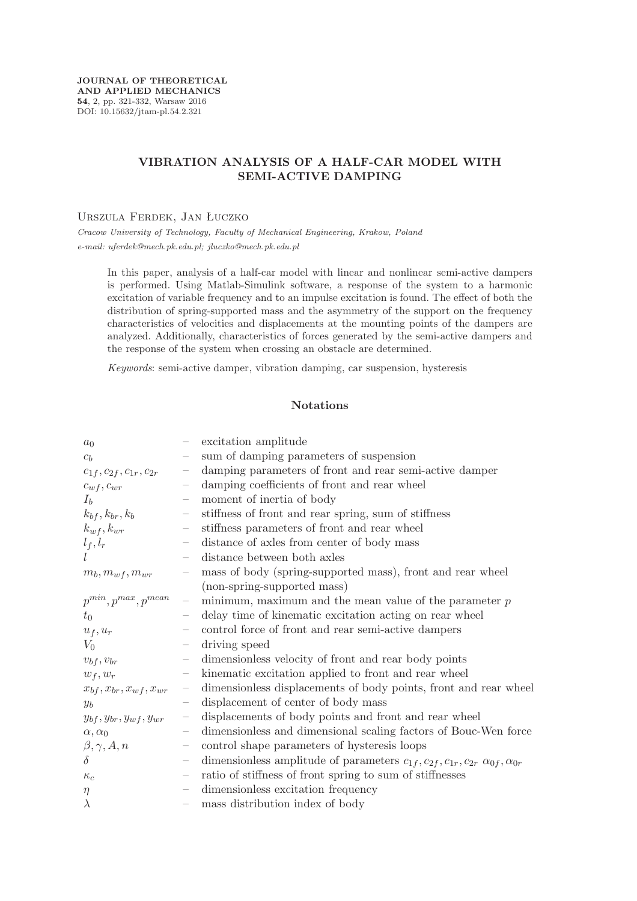**JOURNAL OF THEORETICAL AND APPLIED MECHANICS 54**, 2, pp. 321-332, Warsaw 2016 DOI: 10.15632/jtam-pl.54.2.321

# **VIBRATION ANALYSIS OF A HALF-CAR MODEL WITH SEMI-ACTIVE DAMPING**

Urszula Ferdek, Jan Łuczko

*Cracow University of Technology, Faculty of Mechanical Engineering, Krakow, Poland e-mail: uferdek@mech.pk.edu.pl; jluczko@mech.pk.edu.pl*

In this paper, analysis of a half-car model with linear and nonlinear semi-active dampers is performed. Using Matlab-Simulink software, a response of the system to a harmonic excitation of variable frequency and to an impulse excitation is found. The effect of both the distribution of spring-supported mass and the asymmetry of the support on the frequency characteristics of velocities and displacements at the mounting points of the dampers are analyzed. Additionally, characteristics of forces generated by the semi-active dampers and the response of the system when crossing an obstacle are determined.

*Keywords*: semi-active damper, vibration damping, car suspension, hysteresis

## **Notations**

| a <sub>0</sub>                   |                          | excitation amplitude                                                                                          |
|----------------------------------|--------------------------|---------------------------------------------------------------------------------------------------------------|
| $c_b$                            |                          | sum of damping parameters of suspension                                                                       |
| $c_{1f},c_{2f},c_{1r},c_{2r}$    | $\overline{\phantom{m}}$ | damping parameters of front and rear semi-active damper                                                       |
| $c_{wf}, c_{wr}$                 | $\qquad \qquad -$        | damping coefficients of front and rear wheel                                                                  |
| $I_b$                            | $\overline{\phantom{m}}$ | moment of inertia of body                                                                                     |
| $k_{bf}$ , $k_{br}$ , $k_b$      | $\overline{\phantom{m}}$ | stiffness of front and rear spring, sum of stiffness                                                          |
| $k_{wf}, k_{wr}$                 |                          | stiffness parameters of front and rear wheel                                                                  |
| $l_f, l_r$                       | $\qquad \qquad -$        | distance of axles from center of body mass                                                                    |
|                                  |                          | distance between both axles                                                                                   |
| $m_b, m_{wf}, m_{wr}$            |                          | mass of body (spring-supported mass), front and rear wheel                                                    |
|                                  |                          | (non-spring-supported mass)                                                                                   |
| $p^{min}, p^{max}, p^{mean}$     | $\qquad \qquad -$        | minimum, maximum and the mean value of the parameter $p$                                                      |
| $t_0$                            |                          | delay time of kinematic excitation acting on rear wheel                                                       |
| $u_f, u_r$                       |                          | control force of front and rear semi-active dampers                                                           |
| $V_0$                            | $\overline{\phantom{m}}$ | driving speed                                                                                                 |
| $v_{bf}, v_{br}$                 | $\overline{\phantom{m}}$ | dimensionless velocity of front and rear body points                                                          |
| $w_f, w_r$                       |                          | kinematic excitation applied to front and rear wheel                                                          |
| $x_{bf}, x_{br}, x_{wf}, x_{wr}$ | $\overline{\phantom{m}}$ | dimensionless displacements of body points, front and rear wheel                                              |
| $y_b$                            |                          | displacement of center of body mass                                                                           |
| $y_{bf}, y_{br}, y_{wf}, y_{wr}$ | $\overline{\phantom{m}}$ | displacements of body points and front and rear wheel                                                         |
| $\alpha, \alpha_0$               | $\overline{\phantom{m}}$ | dimensionless and dimensional scaling factors of Bouc-Wen force                                               |
| $\beta, \gamma, A, n$            | $\overline{\phantom{m}}$ | control shape parameters of hysteresis loops                                                                  |
| $\delta$                         |                          | dimensionless amplitude of parameters $c_{1f}$ , $c_{2f}$ , $c_{1r}$ , $c_{2r}$ $\alpha_{0f}$ , $\alpha_{0r}$ |
| $\kappa_c$                       | $\overline{\phantom{m}}$ | ratio of stiffness of front spring to sum of stiffnesses                                                      |
| $\eta$                           |                          | dimensionless excitation frequency                                                                            |
| $\lambda$                        | $\overline{\phantom{m}}$ | mass distribution index of body                                                                               |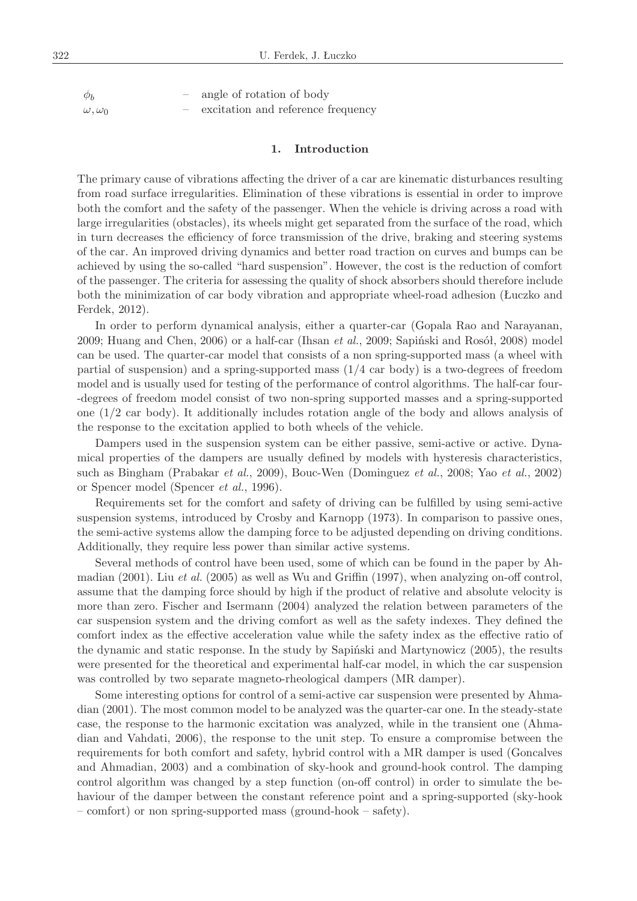$\phi_b$  – angle of rotation of body  $\omega, \omega_0$  – excitation and reference frequency

## **1. Introduction**

The primary cause of vibrations affecting the driver of a car are kinematic disturbances resulting from road surface irregularities. Elimination of these vibrations is essential in order to improve both the comfort and the safety of the passenger. When the vehicle is driving across a road with large irregularities (obstacles), its wheels might get separated from the surface of the road, which in turn decreases the efficiency of force transmission of the drive, braking and steering systems of the car. An improved driving dynamics and better road traction on curves and bumps can be achieved by using the so-called "hard suspension". However, the cost is the reduction of comfort of the passenger. The criteria for assessing the quality of shock absorbers should therefore include both the minimization of car body vibration and appropriate wheel-road adhesion (Łuczko and Ferdek, 2012).

In order to perform dynamical analysis, either a quarter-car (Gopala Rao and Narayanan, 2009; Huang and Chen, 2006) or a half-car (Ihsan *et al.*, 2009; Sapiński and Rosół, 2008) model can be used. The quarter-car model that consists of a non spring-supported mass (a wheel with partial of suspension) and a spring-supported mass (1*/*4 car body) is a two-degrees of freedom model and is usually used for testing of the performance of control algorithms. The half-car four- -degrees of freedom model consist of two non-spring supported masses and a spring-supported one (1*/*2 car body). It additionally includes rotation angle of the body and allows analysis of the response to the excitation applied to both wheels of the vehicle.

Dampers used in the suspension system can be either passive, semi-active or active. Dynamical properties of the dampers are usually defined by models with hysteresis characteristics, such as Bingham (Prabakar *et al.*, 2009), Bouc-Wen (Dominguez *et al.*, 2008; Yao *et al.*, 2002) or Spencer model (Spencer *et al.*, 1996).

Requirements set for the comfort and safety of driving can be fulfilled by using semi-active suspension systems, introduced by Crosby and Karnopp (1973). In comparison to passive ones, the semi-active systems allow the damping force to be adjusted depending on driving conditions. Additionally, they require less power than similar active systems.

Several methods of control have been used, some of which can be found in the paper by Ahmadian (2001). Liu *et al.* (2005) as well as Wu and Griffin (1997), when analyzing on-off control, assume that the damping force should by high if the product of relative and absolute velocity is more than zero. Fischer and Isermann (2004) analyzed the relation between parameters of the car suspension system and the driving comfort as well as the safety indexes. They defined the comfort index as the effective acceleration value while the safety index as the effective ratio of the dynamic and static response. In the study by Sapiński and Martynowicz (2005), the results were presented for the theoretical and experimental half-car model, in which the car suspension was controlled by two separate magneto-rheological dampers (MR damper).

Some interesting options for control of a semi-active car suspension were presented by Ahmadian (2001). The most common model to be analyzed was the quarter-car one. In the steady-state case, the response to the harmonic excitation was analyzed, while in the transient one (Ahmadian and Vahdati, 2006), the response to the unit step. To ensure a compromise between the requirements for both comfort and safety, hybrid control with a MR damper is used (Goncalves and Ahmadian, 2003) and a combination of sky-hook and ground-hook control. The damping control algorithm was changed by a step function (on-off control) in order to simulate the behaviour of the damper between the constant reference point and a spring-supported (sky-hook – comfort) or non spring-supported mass (ground-hook – safety).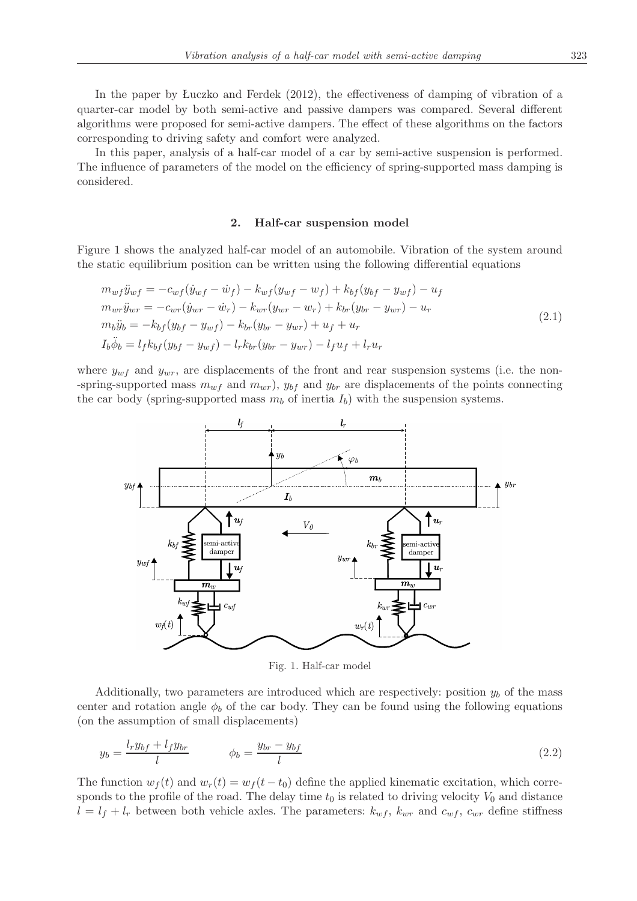In the paper by Łuczko and Ferdek (2012), the effectiveness of damping of vibration of a quarter-car model by both semi-active and passive dampers was compared. Several different algorithms were proposed for semi-active dampers. The effect of these algorithms on the factors corresponding to driving safety and comfort were analyzed.

In this paper, analysis of a half-car model of a car by semi-active suspension is performed. The influence of parameters of the model on the efficiency of spring-supported mass damping is considered.

#### **2. Half-car suspension model**

Figure 1 shows the analyzed half-car model of an automobile. Vibration of the system around the static equilibrium position can be written using the following differential equations

$$
m_{wf}\ddot{y}_{wf} = -c_{wf}(\dot{y}_{wf} - \dot{w}_f) - k_{wf}(y_{wf} - w_f) + k_{bf}(y_{bf} - y_{wf}) - u_f
$$
  
\n
$$
m_{wr}\ddot{y}_{wr} = -c_{wr}(\dot{y}_{wr} - \dot{w}_r) - k_{wr}(y_{wr} - w_r) + k_{br}(y_{br} - y_{wr}) - u_r
$$
  
\n
$$
m_b\ddot{y}_b = -k_{bf}(y_{bf} - y_{wf}) - k_{br}(y_{br} - y_{wr}) + u_f + u_r
$$
  
\n
$$
I_b\ddot{\phi}_b = l_fk_{bf}(y_{bf} - y_{wf}) - l_rk_{br}(y_{br} - y_{wr}) - l_fu_f + l_ru_r
$$
\n(2.1)

where  $y_{wf}$  and  $y_{wr}$ , are displacements of the front and rear suspension systems (i.e. the non--spring-supported mass  $m_{wf}$  and  $m_{wr}$ ,  $y_{bf}$  and  $y_{br}$  are displacements of the points connecting the car body (spring-supported mass  $m_b$  of inertia  $I_b$ ) with the suspension systems.



Fig. 1. Half-car model

Additionally, two parameters are introduced which are respectively: position *y<sup>b</sup>* of the mass center and rotation angle  $\phi_b$  of the car body. They can be found using the following equations (on the assumption of small displacements)

$$
y_b = \frac{l_r y_{bf} + l_f y_{br}}{l} \qquad \qquad \phi_b = \frac{y_{br} - y_{bf}}{l} \tag{2.2}
$$

The function  $w_f(t)$  and  $w_r(t) = w_f(t - t_0)$  define the applied kinematic excitation, which corresponds to the profile of the road. The delay time  $t_0$  is related to driving velocity  $V_0$  and distance  $l = l_f + l_r$  between both vehicle axles. The parameters:  $k_{wf}$ ,  $k_{wr}$  and  $c_{wf}$ ,  $c_{wr}$  define stiffness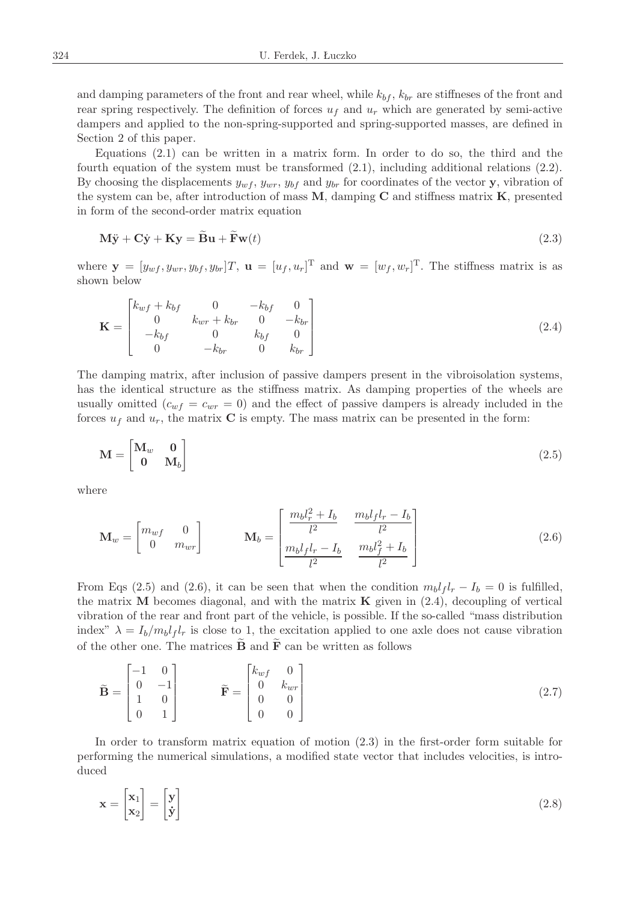and damping parameters of the front and rear wheel, while  $k_{bf}$ ,  $k_{br}$  are stiffneses of the front and rear spring respectively. The definition of forces  $u_f$  and  $u_r$  which are generated by semi-active dampers and applied to the non-spring-supported and spring-supported masses, are defined in Section 2 of this paper.

Equations (2.1) can be written in a matrix form. In order to do so, the third and the fourth equation of the system must be transformed  $(2.1)$ , including additional relations  $(2.2)$ . By choosing the displacements  $y_{wf}$ ,  $y_{wr}$ ,  $y_{bf}$  and  $y_{br}$  for coordinates of the vector **y**, vibration of the system can be, after introduction of mass **M**, damping **C** and stiffness matrix **K**, presented in form of the second-order matrix equation

$$
\mathbf{M}\ddot{\mathbf{y}} + \mathbf{C}\dot{\mathbf{y}} + \mathbf{K}\mathbf{y} = \mathbf{B}\mathbf{u} + \mathbf{F}\mathbf{w}(t)
$$
\n(2.3)

where  $\mathbf{y} = [y_{wf}, y_{wr}, y_{bf}, y_{br}]T$ ,  $\mathbf{u} = [u_f, u_r]^T$  and  $\mathbf{w} = [w_f, w_r]^T$ . The stiffness matrix is as shown below

$$
\mathbf{K} = \begin{bmatrix} k_{wf} + k_{bf} & 0 & -k_{bf} & 0\\ 0 & k_{wr} + k_{br} & 0 & -k_{br}\\ -k_{bf} & 0 & k_{bf} & 0\\ 0 & -k_{br} & 0 & k_{br} \end{bmatrix}
$$
(2.4)

The damping matrix, after inclusion of passive dampers present in the vibroisolation systems, has the identical structure as the stiffness matrix. As damping properties of the wheels are usually omitted  $(c_{wf} = c_{wr} = 0)$  and the effect of passive dampers is already included in the forces  $u_f$  and  $u_r$ , the matrix **C** is empty. The mass matrix can be presented in the form:

$$
\mathbf{M} = \begin{bmatrix} \mathbf{M}_w & \mathbf{0} \\ \mathbf{0} & \mathbf{M}_b \end{bmatrix} \tag{2.5}
$$

where

 $\overline{a}$ 

 $\frac{1}{2}$ 

$$
\mathbf{M}_{w} = \begin{bmatrix} m_{wf} & 0\\ 0 & m_{wr} \end{bmatrix} \qquad \mathbf{M}_{b} = \begin{bmatrix} \frac{m_{b}l_{r}^{2} + I_{b}}{l^{2}} & \frac{m_{b}l_{f}l_{r} - I_{b}}{l^{2}}\\ \frac{m_{b}l_{f}l_{r} - I_{b}}{l^{2}} & \frac{m_{b}l_{f}^{2} + I_{b}}{l^{2}} \end{bmatrix}
$$
(2.6)

From Eqs (2.5) and (2.6), it can be seen that when the condition  $m_b l_f l_r - I_b = 0$  is fulfilled, the matrix **M** becomes diagonal, and with the matrix **K** given in (2.4), decoupling of vertical vibration of the rear and front part of the vehicle, is possible. If the so-called "mass distribution index"  $\lambda = I_b/m_b l_f l_r$  is close to 1, the excitation applied to one axle does not cause vibration of the other one. The matrices  $\overrightarrow{B}$  and  $\overrightarrow{F}$  can be written as follows

$$
\tilde{\mathbf{B}} = \begin{bmatrix} -1 & 0 \\ 0 & -1 \\ 1 & 0 \\ 0 & 1 \end{bmatrix} \qquad \qquad \tilde{\mathbf{F}} = \begin{bmatrix} k_{wf} & 0 \\ 0 & k_{wr} \\ 0 & 0 \\ 0 & 0 \end{bmatrix}
$$
 (2.7)

In order to transform matrix equation of motion (2.3) in the first-order form suitable for performing the numerical simulations, a modified state vector that includes velocities, is introduced

$$
\mathbf{x} = \begin{bmatrix} \mathbf{x}_1 \\ \mathbf{x}_2 \end{bmatrix} = \begin{bmatrix} \mathbf{y} \\ \mathbf{\dot{y}} \end{bmatrix} \tag{2.8}
$$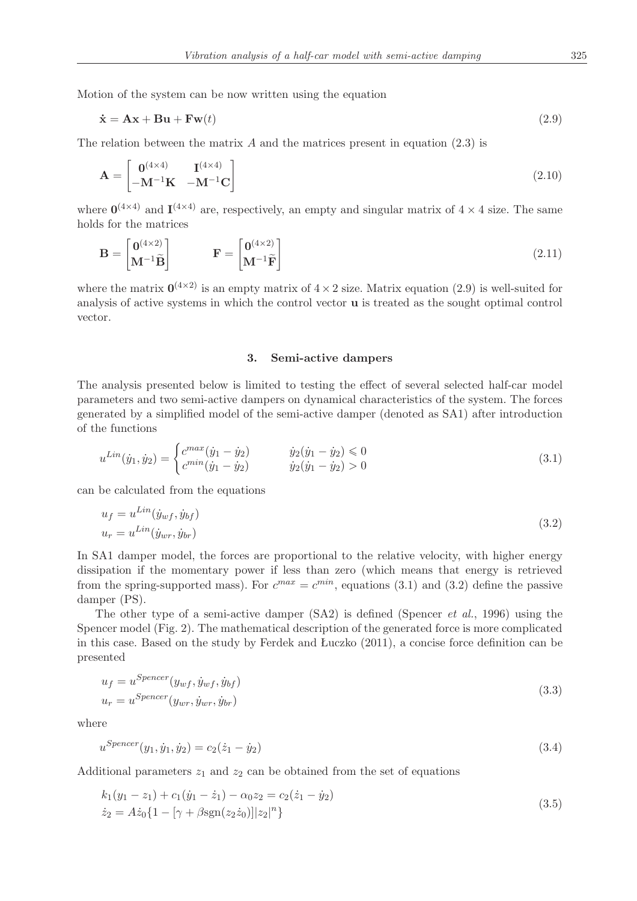Motion of the system can be now written using the equation

$$
\dot{\mathbf{x}} = \mathbf{A}\mathbf{x} + \mathbf{B}\mathbf{u} + \mathbf{F}\mathbf{w}(t) \tag{2.9}
$$

The relation between the matrix *A* and the matrices present in equation (2.3) is

$$
\mathbf{A} = \begin{bmatrix} \mathbf{0}^{(4 \times 4)} & \mathbf{I}^{(4 \times 4)} \\ -\mathbf{M}^{-1}\mathbf{K} & -\mathbf{M}^{-1}\mathbf{C} \end{bmatrix}
$$
(2.10)

where  $\mathbf{0}^{(4\times4)}$  and  $\mathbf{I}^{(4\times4)}$  are, respectively, an empty and singular matrix of  $4\times4$  size. The same holds for the matrices

$$
\mathbf{B} = \begin{bmatrix} \mathbf{0}^{(4 \times 2)} \\ \mathbf{M}^{-1} \tilde{\mathbf{B}} \end{bmatrix} \qquad \qquad \mathbf{F} = \begin{bmatrix} \mathbf{0}^{(4 \times 2)} \\ \mathbf{M}^{-1} \tilde{\mathbf{F}} \end{bmatrix}
$$
(2.11)

where the matrix  $\mathbf{0}^{(4\times2)}$  is an empty matrix of  $4\times2$  size. Matrix equation (2.9) is well-suited for analysis of active systems in which the control vector **u** is treated as the sought optimal control vector.

### **3. Semi-active dampers**

The analysis presented below is limited to testing the effect of several selected half-car model parameters and two semi-active dampers on dynamical characteristics of the system. The forces generated by a simplified model of the semi-active damper (denoted as SA1) after introduction of the functions

$$
u^{Lin}(\dot{y}_1, \dot{y}_2) = \begin{cases} c^{max}(\dot{y}_1 - \dot{y}_2) & \dot{y}_2(\dot{y}_1 - \dot{y}_2) \le 0\\ c^{min}(\dot{y}_1 - \dot{y}_2) & \dot{y}_2(\dot{y}_1 - \dot{y}_2) > 0 \end{cases}
$$
(3.1)

can be calculated from the equations

$$
u_f = u^{Lin}(\dot{y}_{wf}, \dot{y}_{bf})
$$
  

$$
u_r = u^{Lin}(\dot{y}_{wr}, \dot{y}_{br})
$$
\n(3.2)

In SA1 damper model, the forces are proportional to the relative velocity, with higher energy dissipation if the momentary power if less than zero (which means that energy is retrieved from the spring-supported mass). For  $c^{max} = c^{min}$ , equations (3.1) and (3.2) define the passive damper (PS).

The other type of a semi-active damper (SA2) is defined (Spencer *et al.*, 1996) using the Spencer model (Fig. 2). The mathematical description of the generated force is more complicated in this case. Based on the study by Ferdek and Łuczko (2011), a concise force definition can be presented

$$
u_f = u^{Spencer}(y_{wf}, \dot{y}_{wf}, \dot{y}_{bf})
$$
  

$$
u_r = u^{Spencer}(y_{wr}, \dot{y}_{wr}, \dot{y}_{br})
$$
\n(3.3)

where

$$
u^{Spencer}(y_1, \dot{y}_1, \dot{y}_2) = c_2(\dot{z}_1 - \dot{y}_2)
$$
\n(3.4)

Additional parameters  $z_1$  and  $z_2$  can be obtained from the set of equations

$$
k_1(y_1 - z_1) + c_1(\dot{y}_1 - \dot{z}_1) - \alpha_0 z_2 = c_2(\dot{z}_1 - \dot{y}_2)
$$
  
\n
$$
\dot{z}_2 = A\dot{z}_0\{1 - [\gamma + \beta \text{sgn}(z_2 \dot{z}_0)]|z_2|^n\}
$$
\n(3.5)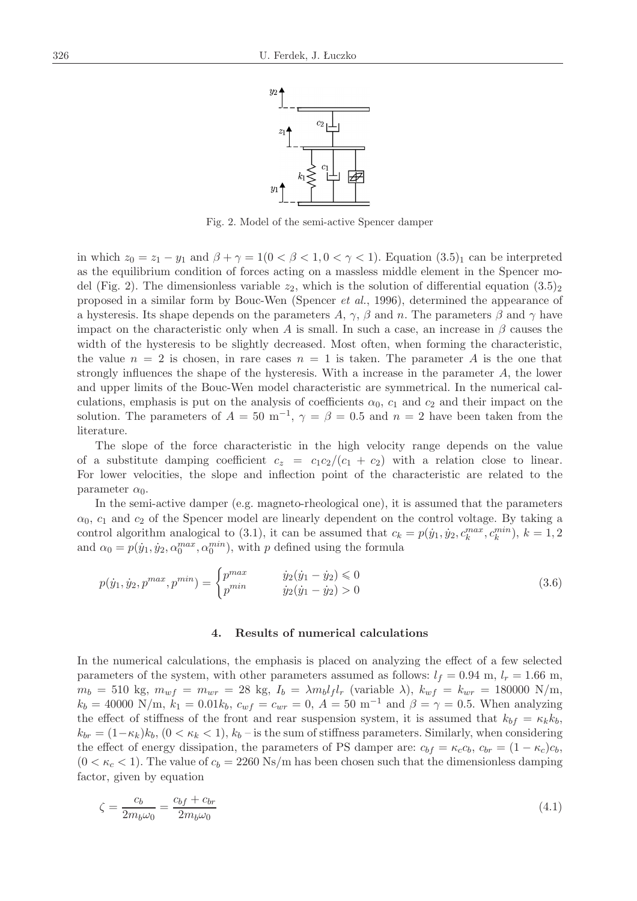

Fig. 2. Model of the semi-active Spencer damper

in which  $z_0 = z_1 - y_1$  and  $\beta + \gamma = 1(0 \le \beta \le 1, 0 \le \gamma \le 1)$ . Equation (3.5)<sub>1</sub> can be interpreted as the equilibrium condition of forces acting on a massless middle element in the Spencer model (Fig. 2). The dimensionless variable  $z_2$ , which is the solution of differential equation  $(3.5)_2$ proposed in a similar form by Bouc-Wen (Spencer *et al.*, 1996), determined the appearance of a hysteresis. Its shape depends on the parameters *A*,  $\gamma$ ,  $\beta$  and *n*. The parameters  $\beta$  and  $\gamma$  have impact on the characteristic only when *A* is small. In such a case, an increase in  $\beta$  causes the width of the hysteresis to be slightly decreased. Most often, when forming the characteristic, the value  $n = 2$  is chosen, in rare cases  $n = 1$  is taken. The parameter *A* is the one that strongly influences the shape of the hysteresis. With a increase in the parameter *A*, the lower and upper limits of the Bouc-Wen model characteristic are symmetrical. In the numerical calculations, emphasis is put on the analysis of coefficients  $\alpha_0$ ,  $c_1$  and  $c_2$  and their impact on the solution. The parameters of  $A = 50 \text{ m}^{-1}$ ,  $\gamma = \beta = 0.5$  and  $n = 2$  have been taken from the literature.

The slope of the force characteristic in the high velocity range depends on the value of a substitute damping coefficient  $c_z = c_1 c_2/(c_1 + c_2)$  with a relation close to linear. For lower velocities, the slope and inflection point of the characteristic are related to the parameter  $\alpha_0$ .

In the semi-active damper (e.g. magneto-rheological one), it is assumed that the parameters  $\alpha_0$ ,  $c_1$  and  $c_2$  of the Spencer model are linearly dependent on the control voltage. By taking a control algorithm analogical to (3.1), it can be assumed that  $c_k = p(\dot{y}_1, \dot{y}_2, c_k^{max}, c_k^{min}), k = 1, 2$ and  $\alpha_0 = p(\dot{y}_1, \dot{y}_2, \alpha_0^{max}, \alpha_0^{min})$ , with *p* defined using the formula

$$
p(\dot{y}_1, \dot{y}_2, p^{max}, p^{min}) = \begin{cases} p^{max} & \dot{y}_2(\dot{y}_1 - \dot{y}_2) \le 0\\ p^{min} & \dot{y}_2(\dot{y}_1 - \dot{y}_2) > 0 \end{cases}
$$
(3.6)

#### **4. Results of numerical calculations**

In the numerical calculations, the emphasis is placed on analyzing the effect of a few selected parameters of the system, with other parameters assumed as follows:  $l_f = 0.94$  m,  $l_r = 1.66$  m,  $m_b = 510 \text{ kg}, m_{wf} = m_{wr} = 28 \text{ kg}, I_b = \lambda m_b l_f l_r \text{ (variable } \lambda), k_{wf} = k_{wr} = 180000 \text{ N/m},$  $k_b = 40000 \text{ N/m}, k_1 = 0.01k_b, c_{wf} = c_{wr} = 0, A = 50 \text{ m}^{-1} \text{ and } B = \gamma = 0.5.$  When analyzing the effect of stiffness of the front and rear suspension system, it is assumed that  $k_{bf} = \kappa_k k_b$ ,  $k_{br} = (1 - \kappa_k) k_b$ ,  $(0 < \kappa_k < 1)$ ,  $k_b$  – is the sum of stiffness parameters. Similarly, when considering the effect of energy dissipation, the parameters of PS damper are:  $c_{bf} = \kappa_c c_b$ ,  $c_{br} = (1 - \kappa_c)c_b$ ,  $(0 < \kappa_c < 1)$ . The value of  $c_b = 2260 \text{ Ns/m}$  has been chosen such that the dimensionless damping factor, given by equation

$$
\zeta = \frac{c_b}{2m_b\omega_0} = \frac{c_{bf} + c_{br}}{2m_b\omega_0} \tag{4.1}
$$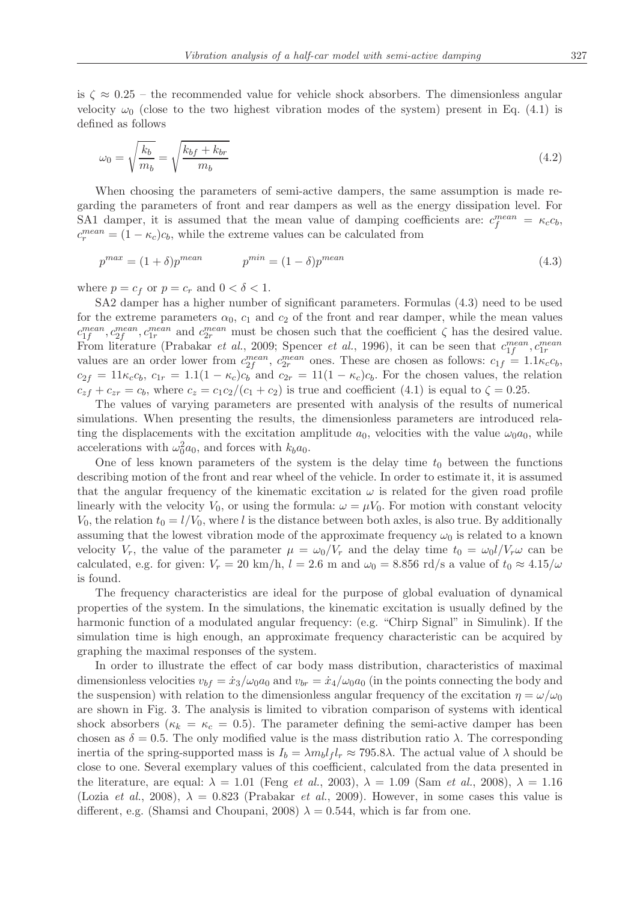is  $\zeta \approx 0.25$  – the recommended value for vehicle shock absorbers. The dimensionless angular velocity  $\omega_0$  (close to the two highest vibration modes of the system) present in Eq. (4.1) is defined as follows

$$
\omega_0 = \sqrt{\frac{k_b}{m_b}} = \sqrt{\frac{k_{bf} + k_{br}}{m_b}}
$$
\n(4.2)

When choosing the parameters of semi-active dampers, the same assumption is made regarding the parameters of front and rear dampers as well as the energy dissipation level. For SA1 damper, it is assumed that the mean value of damping coefficients are:  $c_f^{mean} = \kappa_c c_b$ ,  $c_r^{mean} = (1 - \kappa_c)c_b$ , while the extreme values can be calculated from

$$
p^{max} = (1 + \delta)p^{mean} \qquad p^{min} = (1 - \delta)p^{mean} \qquad (4.3)
$$

where  $p = c_f$  or  $p = c_r$  and  $0 < \delta < 1$ .

SA2 damper has a higher number of significant parameters. Formulas (4.3) need to be used for the extreme parameters  $\alpha_0$ ,  $c_1$  and  $c_2$  of the front and rear damper, while the mean values  $c_{1f}^{mean}$ ,  $c_{2f}^{mean}$ ,  $c_{1r}^{mean}$  and  $c_{2r}^{mean}$  must be chosen such that the coefficient  $\zeta$  has the desired value. From literature (Prabakar *et al.*, 2009; Spencer *et al.*, 1996), it can be seen that  $c_{1f}^{mean}$ ,  $c_{1r}^{mean}$ values are an order lower from  $c_{2f}^{mean}$ ,  $c_{2r}^{mean}$  ones. These are chosen as follows:  $c_{1f} = 1.1 \kappa_c c_b$ ,  $c_{2f} = 11\kappa_c c_b$ ,  $c_{1r} = 1.1(1 - \kappa_c)c_b$  and  $c_{2r} = 11(1 - \kappa_c)c_b$ . For the chosen values, the relation  $c_{z}f + c_{z}r = c_b$ , where  $c_z = c_1c_2/(c_1 + c_2)$  is true and coefficient (4.1) is equal to  $\zeta = 0.25$ .

The values of varying parameters are presented with analysis of the results of numerical simulations. When presenting the results, the dimensionless parameters are introduced relating the displacements with the excitation amplitude  $a_0$ , velocities with the value  $\omega_0 a_0$ , while accelerations with  $\omega_0^2 a_0$ , and forces with  $k_b a_0$ .

One of less known parameters of the system is the delay time  $t_0$  between the functions describing motion of the front and rear wheel of the vehicle. In order to estimate it, it is assumed that the angular frequency of the kinematic excitation  $\omega$  is related for the given road profile linearly with the velocity  $V_0$ , or using the formula:  $\omega = \mu V_0$ . For motion with constant velocity  $V_0$ , the relation  $t_0 = l/V_0$ , where *l* is the distance between both axles, is also true. By additionally assuming that the lowest vibration mode of the approximate frequency  $\omega_0$  is related to a known velocity  $V_r$ , the value of the parameter  $\mu = \omega_0/V_r$  and the delay time  $t_0 = \omega_0 l/V_r \omega$  can be calculated, e.g. for given:  $V_r = 20 \text{ km/h}$ ,  $l = 2.6 \text{ m}$  and  $\omega_0 = 8.856 \text{ rd/s}$  a value of  $t_0 \approx 4.15/\omega$ is found.

The frequency characteristics are ideal for the purpose of global evaluation of dynamical properties of the system. In the simulations, the kinematic excitation is usually defined by the harmonic function of a modulated angular frequency: (e.g. "Chirp Signal" in Simulink). If the simulation time is high enough, an approximate frequency characteristic can be acquired by graphing the maximal responses of the system.

In order to illustrate the effect of car body mass distribution, characteristics of maximal dimensionless velocities  $v_{bf} = \dot{x}_3/\omega_0 a_0$  and  $v_{br} = \dot{x}_4/\omega_0 a_0$  (in the points connecting the body and the suspension) with relation to the dimensionless angular frequency of the excitation  $\eta = \omega/\omega_0$ are shown in Fig. 3. The analysis is limited to vibration comparison of systems with identical shock absorbers ( $\kappa_k = \kappa_c = 0.5$ ). The parameter defining the semi-active damper has been chosen as  $\delta = 0.5$ . The only modified value is the mass distribution ratio  $\lambda$ . The corresponding inertia of the spring-supported mass is  $I_b = \lambda m_b l_f l_r \approx 795.8\lambda$ . The actual value of  $\lambda$  should be close to one. Several exemplary values of this coefficient, calculated from the data presented in the literature, are equal:  $\lambda = 1.01$  (Feng *et al.*, 2003),  $\lambda = 1.09$  (Sam *et al.*, 2008),  $\lambda = 1.16$ (Lozia *et al.*, 2008),  $\lambda = 0.823$  (Prabakar *et al.*, 2009). However, in some cases this value is different, e.g. (Shamsi and Choupani, 2008)  $\lambda = 0.544$ , which is far from one.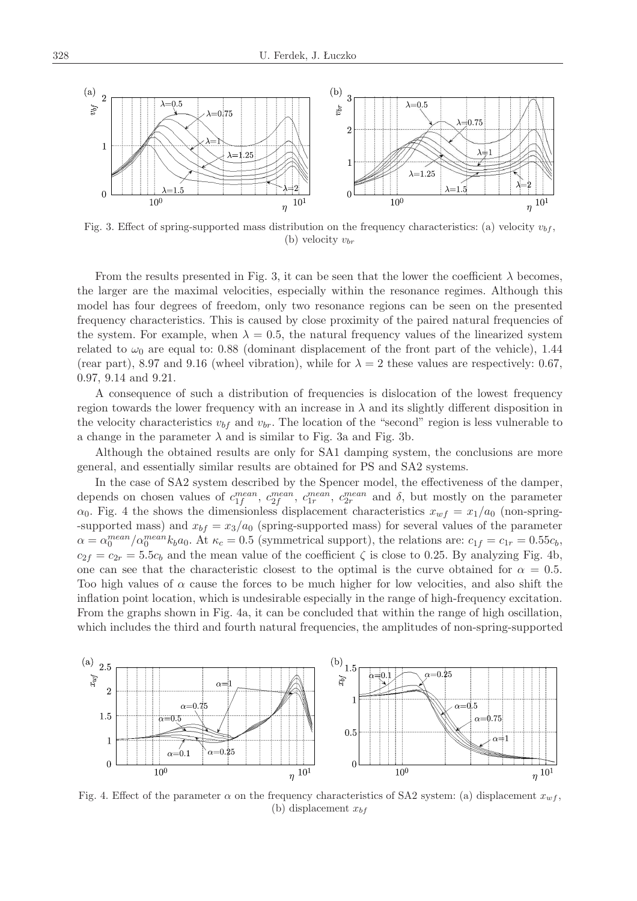

Fig. 3. Effect of spring-supported mass distribution on the frequency characteristics: (a) velocity  $v_{bf}$ , (b) velocity *vbr*

From the results presented in Fig. 3, it can be seen that the lower the coefficient  $\lambda$  becomes, the larger are the maximal velocities, especially within the resonance regimes. Although this model has four degrees of freedom, only two resonance regions can be seen on the presented frequency characteristics. This is caused by close proximity of the paired natural frequencies of the system. For example, when  $\lambda = 0.5$ , the natural frequency values of the linearized system related to  $\omega_0$  are equal to: 0.88 (dominant displacement of the front part of the vehicle), 1.44 (rear part), 8.97 and 9.16 (wheel vibration), while for  $\lambda = 2$  these values are respectively: 0.67, 0.97, 9.14 and 9.21.

A consequence of such a distribution of frequencies is dislocation of the lowest frequency region towards the lower frequency with an increase in  $\lambda$  and its slightly different disposition in the velocity characteristics  $v_{bf}$  and  $v_{br}$ . The location of the "second" region is less vulnerable to a change in the parameter  $\lambda$  and is similar to Fig. 3a and Fig. 3b.

Although the obtained results are only for SA1 damping system, the conclusions are more general, and essentially similar results are obtained for PS and SA2 systems.

In the case of SA2 system described by the Spencer model, the effectiveness of the damper, depends on chosen values of  $c_{1f}^{mean}$ ,  $c_{2f}^{mean}$ ,  $c_{1r}^{mean}$ ,  $c_{2r}^{mean}$  and  $\delta$ , but mostly on the parameter  $\alpha_0$ . Fig. 4 the shows the dimensionless displacement characteristics  $x_{wf} = x_1/a_0$  (non-spring--supported mass) and  $x_{bf} = x_3/a_0$  (spring-supported mass) for several values of the parameter  $\alpha = \alpha_0^{mean} / \alpha_0^{mean} k_b a_0$ . At  $\kappa_c = 0.5$  (symmetrical support), the relations are:  $c_{1f} = c_{1r} = 0.55c_b$ ,  $c_{2f} = c_{2r} = 5.5c_b$  and the mean value of the coefficient  $\zeta$  is close to 0.25. By analyzing Fig. 4b, one can see that the characteristic closest to the optimal is the curve obtained for  $\alpha = 0.5$ . Too high values of  $\alpha$  cause the forces to be much higher for low velocities, and also shift the inflation point location, which is undesirable especially in the range of high-frequency excitation. From the graphs shown in Fig. 4a, it can be concluded that within the range of high oscillation, which includes the third and fourth natural frequencies, the amplitudes of non-spring-supported



Fig. 4. Effect of the parameter  $\alpha$  on the frequency characteristics of SA2 system: (a) displacement  $x_{wf}$ , (b) displacement *xbf*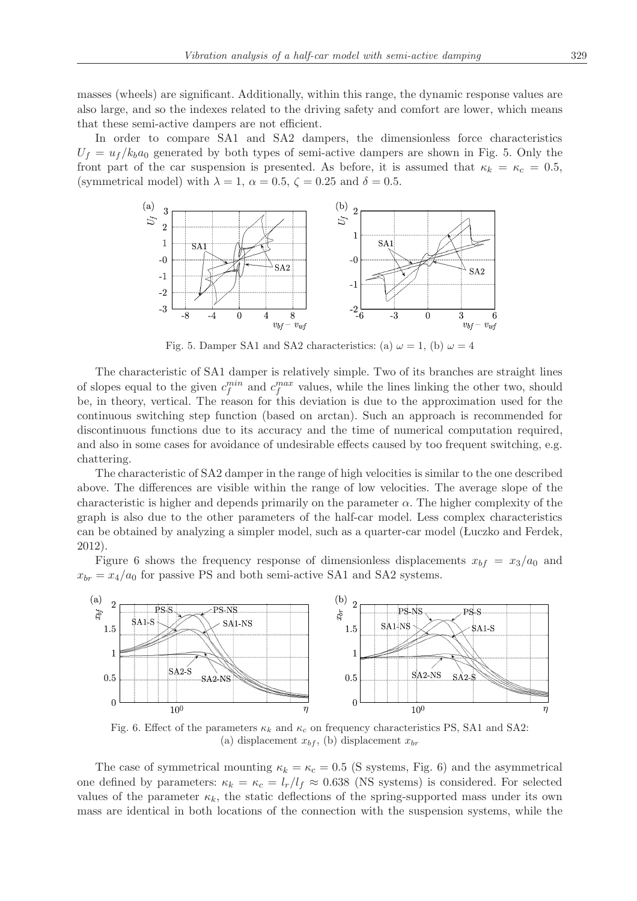masses (wheels) are significant. Additionally, within this range, the dynamic response values are also large, and so the indexes related to the driving safety and comfort are lower, which means that these semi-active dampers are not efficient.

In order to compare SA1 and SA2 dampers, the dimensionless force characteristics  $U_f = u_f / k_b a_0$  generated by both types of semi-active dampers are shown in Fig. 5. Only the front part of the car suspension is presented. As before, it is assumed that  $\kappa_k = \kappa_c = 0.5$ , (symmetrical model) with  $\lambda = 1$ ,  $\alpha = 0.5$ ,  $\zeta = 0.25$  and  $\delta = 0.5$ .



Fig. 5. Damper SA1 and SA2 characteristics: (a)  $\omega = 1$ , (b)  $\omega = 4$ 

The characteristic of SA1 damper is relatively simple. Two of its branches are straight lines of slopes equal to the given  $c_f^{min}$  and  $c_f^{max}$  values, while the lines linking the other two, should be, in theory, vertical. The reason for this deviation is due to the approximation used for the continuous switching step function (based on arctan). Such an approach is recommended for discontinuous functions due to its accuracy and the time of numerical computation required, and also in some cases for avoidance of undesirable effects caused by too frequent switching, e.g. chattering.

The characteristic of SA2 damper in the range of high velocities is similar to the one described above. The differences are visible within the range of low velocities. The average slope of the characteristic is higher and depends primarily on the parameter  $\alpha$ . The higher complexity of the graph is also due to the other parameters of the half-car model. Less complex characteristics can be obtained by analyzing a simpler model, such as a quarter-car model (Łuczko and Ferdek, 2012).

Figure 6 shows the frequency response of dimensionless displacements  $x_{bf} = x_3/a_0$  and  $x_{br} = x_4/a_0$  for passive PS and both semi-active SA1 and SA2 systems.



Fig. 6. Effect of the parameters  $\kappa_k$  and  $\kappa_c$  on frequency characteristics PS, SA1 and SA2: (a) displacement  $x_{bf}$ , (b) displacement  $x_{br}$ 

The case of symmetrical mounting  $\kappa_k = \kappa_c = 0.5$  (S systems, Fig. 6) and the asymmetrical one defined by parameters:  $\kappa_k = \kappa_c = l_r/l_f \approx 0.638$  (NS systems) is considered. For selected values of the parameter  $\kappa_k$ , the static deflections of the spring-supported mass under its own mass are identical in both locations of the connection with the suspension systems, while the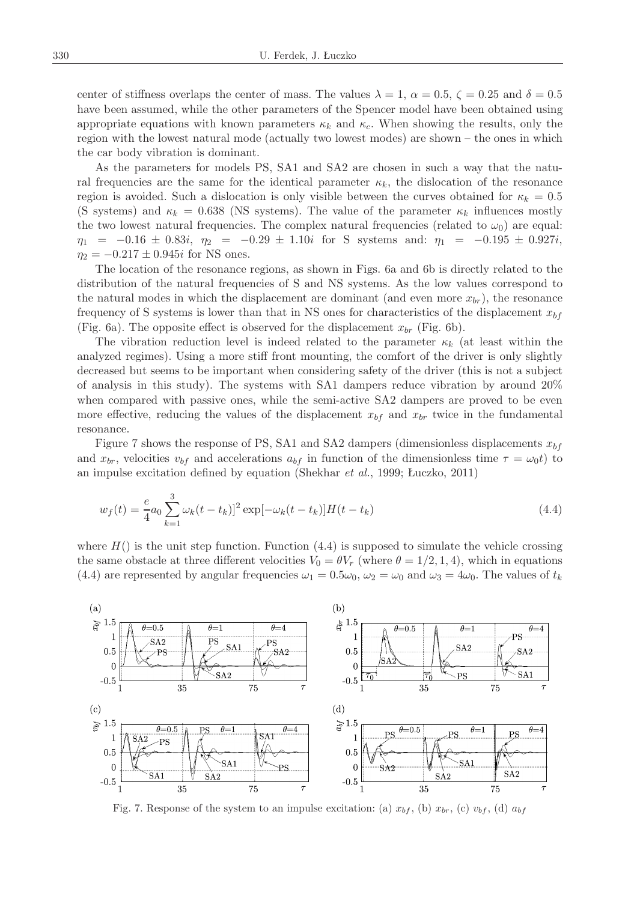center of stiffness overlaps the center of mass. The values  $\lambda = 1$ ,  $\alpha = 0.5$ ,  $\zeta = 0.25$  and  $\delta = 0.5$ have been assumed, while the other parameters of the Spencer model have been obtained using appropriate equations with known parameters  $\kappa_k$  and  $\kappa_c$ . When showing the results, only the region with the lowest natural mode (actually two lowest modes) are shown – the ones in which the car body vibration is dominant.

As the parameters for models PS, SA1 and SA2 are chosen in such a way that the natural frequencies are the same for the identical parameter  $\kappa_k$ , the dislocation of the resonance region is avoided. Such a dislocation is only visible between the curves obtained for  $\kappa_k = 0.5$ (S systems) and  $\kappa_k = 0.638$  (NS systems). The value of the parameter  $\kappa_k$  influences mostly the two lowest natural frequencies. The complex natural frequencies (related to  $\omega_0$ ) are equal: *η*<sup>1</sup> = *−*0*.*16 *±* 0*.*83*i*, *η*<sup>2</sup> = *−*0*.*29 *±* 1*.*10*i* for S systems and: *η*<sup>1</sup> = *−*0*.*195 *±* 0*.*927*i*,  $\eta_2 = -0.217 \pm 0.945i$  for NS ones.

The location of the resonance regions, as shown in Figs. 6a and 6b is directly related to the distribution of the natural frequencies of S and NS systems. As the low values correspond to the natural modes in which the displacement are dominant (and even more  $x_{br}$ ), the resonance frequency of S systems is lower than that in NS ones for characteristics of the displacement  $x_{bf}$ (Fig. 6a). The opposite effect is observed for the displacement  $x_{br}$  (Fig. 6b).

The vibration reduction level is indeed related to the parameter  $\kappa_k$  (at least within the analyzed regimes). Using a more stiff front mounting, the comfort of the driver is only slightly decreased but seems to be important when considering safety of the driver (this is not a subject of analysis in this study). The systems with SA1 dampers reduce vibration by around 20% when compared with passive ones, while the semi-active SA2 dampers are proved to be even more effective, reducing the values of the displacement  $x_{bf}$  and  $x_{br}$  twice in the fundamental resonance.

Figure 7 shows the response of PS, SA1 and SA2 dampers (dimensionless displacements *xbf* and  $x_{br}$ , velocities  $v_{bf}$  and accelerations  $a_{bf}$  in function of the dimensionless time  $\tau = \omega_0 t$  to an impulse excitation defined by equation (Shekhar *et al.*, 1999; Łuczko, 2011)

$$
w_f(t) = \frac{e}{4}a_0 \sum_{k=1}^{3} \omega_k (t - t_k)^2 \exp[-\omega_k (t - t_k)] H(t - t_k)
$$
\n(4.4)

where  $H()$  is the unit step function. Function  $(4.4)$  is supposed to simulate the vehicle crossing the same obstacle at three different velocities  $V_0 = \theta V_r$  (where  $\theta = 1/2, 1, 4$ ), which in equations (4.4) are represented by angular frequencies  $\omega_1 = 0.5\omega_0$ ,  $\omega_2 = \omega_0$  and  $\omega_3 = 4\omega_0$ . The values of  $t_k$ 



Fig. 7. Response of the system to an impulse excitation: (a)  $x_{bf}$ , (b)  $x_{br}$ , (c)  $v_{bf}$ , (d)  $a_{bf}$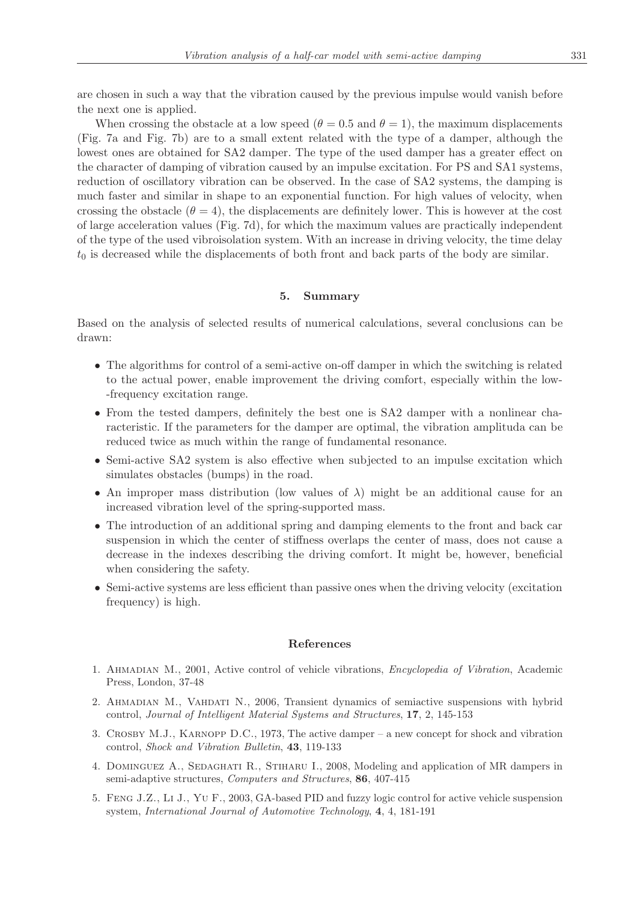are chosen in such a way that the vibration caused by the previous impulse would vanish before the next one is applied.

When crossing the obstacle at a low speed  $(\theta = 0.5$  and  $\theta = 1)$ , the maximum displacements (Fig. 7a and Fig. 7b) are to a small extent related with the type of a damper, although the lowest ones are obtained for SA2 damper. The type of the used damper has a greater effect on the character of damping of vibration caused by an impulse excitation. For PS and SA1 systems, reduction of oscillatory vibration can be observed. In the case of SA2 systems, the damping is much faster and similar in shape to an exponential function. For high values of velocity, when crossing the obstacle  $(\theta = 4)$ , the displacements are definitely lower. This is however at the cost of large acceleration values (Fig. 7d), for which the maximum values are practically independent of the type of the used vibroisolation system. With an increase in driving velocity, the time delay  $t_0$  is decreased while the displacements of both front and back parts of the body are similar.

### **5. Summary**

Based on the analysis of selected results of numerical calculations, several conclusions can be drawn:

- The algorithms for control of a semi-active on-off damper in which the switching is related to the actual power, enable improvement the driving comfort, especially within the low- -frequency excitation range.
- From the tested dampers, definitely the best one is SA2 damper with a nonlinear characteristic. If the parameters for the damper are optimal, the vibration amplituda can be reduced twice as much within the range of fundamental resonance.
- Semi-active SA2 system is also effective when subjected to an impulse excitation which simulates obstacles (bumps) in the road.
- *•* An improper mass distribution (low values of *λ*) might be an additional cause for an increased vibration level of the spring-supported mass.
- The introduction of an additional spring and damping elements to the front and back car suspension in which the center of stiffness overlaps the center of mass, does not cause a decrease in the indexes describing the driving comfort. It might be, however, beneficial when considering the safety.
- Semi-active systems are less efficient than passive ones when the driving velocity (excitation frequency) is high.

#### **References**

- 1. Ahmadian M., 2001, Active control of vehicle vibrations, *Encyclopedia of Vibration*, Academic Press, London, 37-48
- 2. Ahmadian M., Vahdati N., 2006, Transient dynamics of semiactive suspensions with hybrid control, *Journal of Intelligent Material Systems and Structures*, **17**, 2, 145-153
- 3. Crosby M.J., Karnopp D.C., 1973, The active damper a new concept for shock and vibration control, *Shock and Vibration Bulletin*, **43**, 119-133
- 4. Dominguez A., Sedaghati R., Stiharu I., 2008, Modeling and application of MR dampers in semi-adaptive structures, *Computers and Structures*, **86**, 407-415
- 5. Feng J.Z., Li J., Yu F., 2003, GA-based PID and fuzzy logic control for active vehicle suspension system, *International Journal of Automotive Technology*, **4**, 4, 181-191